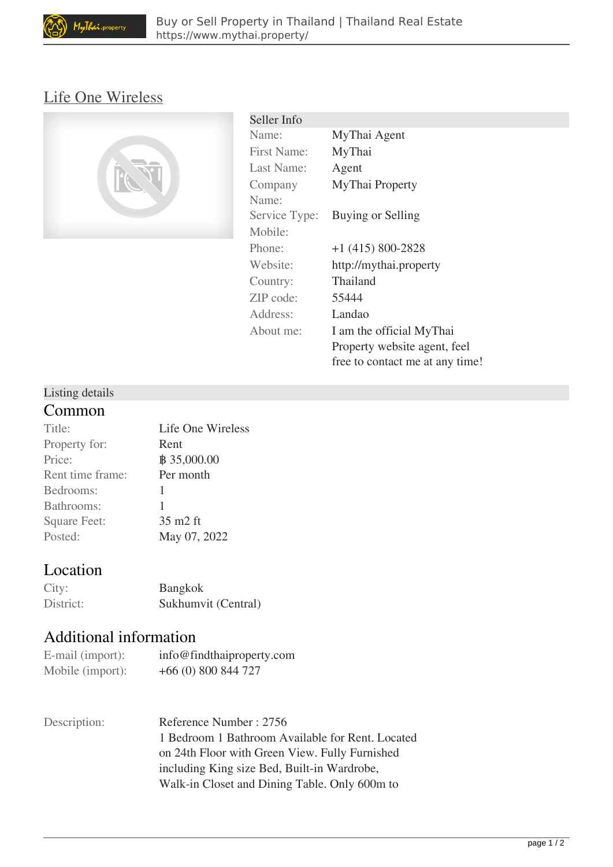# [Life One Wireless](https://www.mythai.property/find-buy-property/condo/life-one-wireless-6805.html)



| Seller Info        |                                 |
|--------------------|---------------------------------|
| Name:              | MyThai Agent                    |
| <b>First Name:</b> | MyThai                          |
| Last Name:         | Agent                           |
| Company            | MyThai Property                 |
| Name:              |                                 |
| Service Type:      | Buying or Selling               |
| Mobile:            |                                 |
| Phone:             | $+1$ (415) 800-2828             |
| Website:           | http://mythai.property          |
| Country:           | Thailand                        |
| ZIP code:          | 55444                           |
| Address:           | Landao                          |
| About me:          | I am the official MyThai        |
|                    | Property website agent, feel    |
|                    | free to contact me at any time! |

#### Listing details

#### **Common**

| Title:              | Life One Wireless |
|---------------------|-------------------|
| Property for:       | Rent              |
| Price:              |                   |
| Rent time frame:    | Per month         |
| Bedrooms:           | 1                 |
| Bathrooms:          | 1                 |
| <b>Square Feet:</b> | 35 m2 ft          |
| Posted:             | May 07, 2022      |
|                     |                   |

## **Location**

| City:     | <b>Bangkok</b>      |
|-----------|---------------------|
| District: | Sukhumvit (Central) |

### **Additional information**

| E-mail (import): | info@findthaiproperty.com |
|------------------|---------------------------|
| Mobile (import): | $+66(0)800844727$         |

| Description: | Reference Number: 2756                           |
|--------------|--------------------------------------------------|
|              | 1 Bedroom 1 Bathroom Available for Rent. Located |
|              | on 24th Floor with Green View. Fully Furnished   |
|              | including King size Bed, Built-in Wardrobe,      |
|              | Walk-in Closet and Dining Table. Only 600m to    |